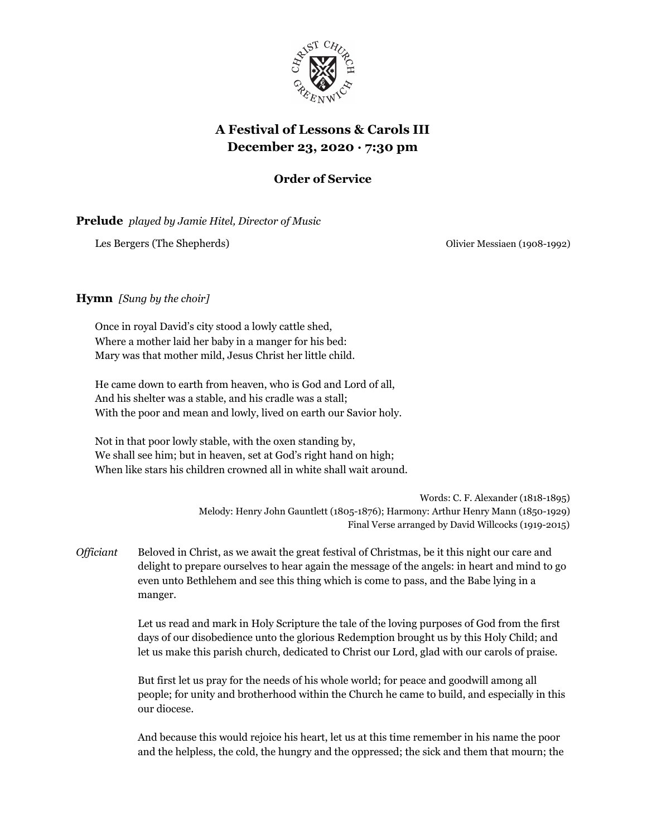

# **A Festival of Lessons & Carols III December 23, 2020 · 7:30 pm**

# **Order of Service**

**Prelude** *played by Jamie Hitel, Director of Music*

Les Bergers (The Shepherds) Olivier Messiaen (1908-1992)

#### **Hymn** *[Sung by the choir]*

Once in royal David's city stood a lowly cattle shed, Where a mother laid her baby in a manger for his bed: Mary was that mother mild, Jesus Christ her little child.

He came down to earth from heaven, who is God and Lord of all, And his shelter was a stable, and his cradle was a stall; With the poor and mean and lowly, lived on earth our Savior holy.

Not in that poor lowly stable, with the oxen standing by, We shall see him; but in heaven, set at God's right hand on high; When like stars his children crowned all in white shall wait around.

> Words: C. F. Alexander (1818-1895) Melody: Henry John Gauntlett (1805-1876); Harmony: Arthur Henry Mann (1850-1929) Final Verse arranged by David Willcocks (1919-2015)

*Of iciant* Beloved in Christ, as we await the great festival of Christmas, be it this night our care and delight to prepare ourselves to hear again the message of the angels: in heart and mind to go even unto Bethlehem and see this thing which is come to pass, and the Babe lying in a manger.

> Let us read and mark in Holy Scripture the tale of the loving purposes of God from the first days of our disobedience unto the glorious Redemption brought us by this Holy Child; and let us make this parish church, dedicated to Christ our Lord, glad with our carols of praise.

But first let us pray for the needs of his whole world; for peace and goodwill among all people; for unity and brotherhood within the Church he came to build, and especially in this our diocese.

And because this would rejoice his heart, let us at this time remember in his name the poor and the helpless, the cold, the hungry and the oppressed; the sick and them that mourn; the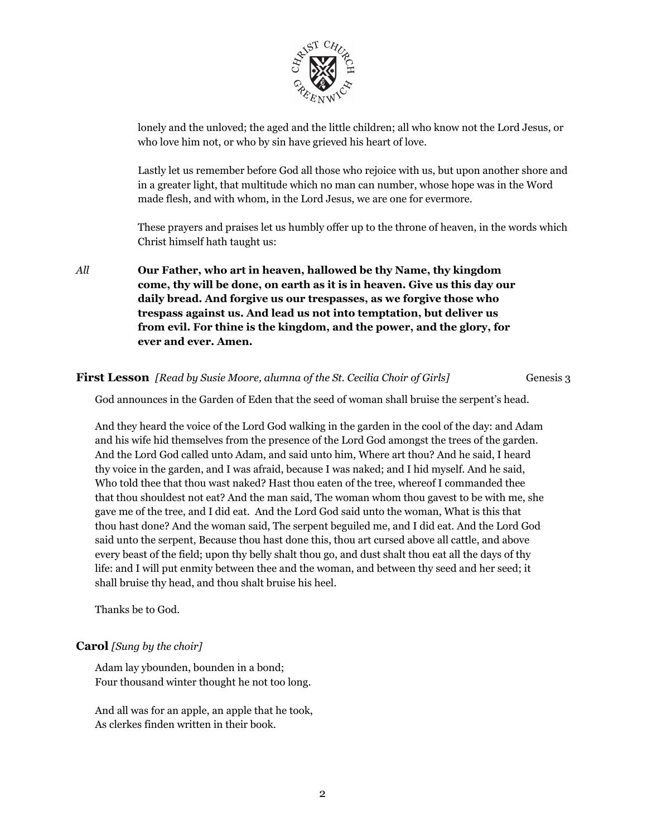

lonely and the unloved; the aged and the little children; all who know not the Lord Jesus, or who love him not, or who by sin have grieved his heart of love.

Lastly let us remember before God all those who rejoice with us, but upon another shore and in a greater light, that multitude which no man can number, whose hope was in the Word made flesh, and with whom, in the Lord Jesus, we are one for evermore.

These prayers and praises let us humbly offer up to the throne of heaven, in the words which Christ himself hath taught us:

*All* **Our Father, who art in heaven, hallowed be thy Name, thy kingdom come, thy will be done, on earth as it is in heaven. Give us this day our daily bread. And forgive us our trespasses, as we forgive those who trespass against us. And lead us not into temptation, but deliver us from evil. For thine is the kingdom, and the power, and the glory, for ever and ever. Amen.**

#### **First Lesson** *[Read by Susie Moore, alumna of the St. Cecilia Choir of Girls]* Genesis 3

God announces in the Garden of Eden that the seed of woman shall bruise the serpent's head.

And they heard the voice of the Lord God walking in the garden in the cool of the day: and Adam and his wife hid themselves from the presence of the Lord God amongst the trees of the garden. And the Lord God called unto Adam, and said unto him, Where art thou? And he said, I heard thy voice in the garden, and I was afraid, because I was naked; and I hid myself. And he said, Who told thee that thou wast naked? Hast thou eaten of the tree, whereof I commanded thee that thou shouldest not eat? And the man said, The woman whom thou gavest to be with me, she gave me of the tree, and I did eat. And the Lord God said unto the woman, What is this that thou hast done? And the woman said, The serpent beguiled me, and I did eat. And the Lord God said unto the serpent, Because thou hast done this, thou art cursed above all cattle, and above every beast of the field; upon thy belly shalt thou go, and dust shalt thou eat all the days of thy life: and I will put enmity between thee and the woman, and between thy seed and her seed; it shall bruise thy head, and thou shalt bruise his heel.

Thanks be to God.

#### **Carol** *[Sung by the choir]*

Adam lay ybounden, bounden in a bond; Four thousand winter thought he not too long.

And all was for an apple, an apple that he took, As clerkes finden written in their book.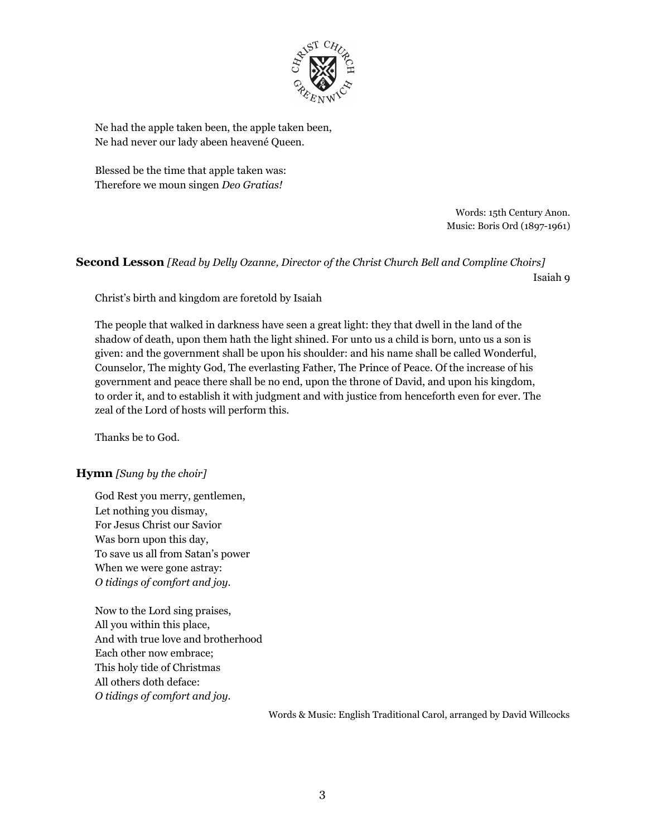

Ne had the apple taken been, the apple taken been, Ne had never our lady abeen heavené Queen.

Blessed be the time that apple taken was: Therefore we moun singen *Deo Gratias!*

> Words: 15th Century Anon. Music: Boris Ord (1897-1961)

# **Second Lesson** *[Read by Delly Ozanne, Director of the Christ Church Bell and Compline Choirs]*

Isaiah 9

Christ's birth and kingdom are foretold by Isaiah

The people that walked in darkness have seen a great light: they that dwell in the land of the shadow of death, upon them hath the light shined. For unto us a child is born, unto us a son is given: and the government shall be upon his shoulder: and his name shall be called Wonderful, Counselor, The mighty God, The everlasting Father, The Prince of Peace. Of the increase of his government and peace there shall be no end, upon the throne of David, and upon his kingdom, to order it, and to establish it with judgment and with justice from henceforth even for ever. The zeal of the Lord of hosts will perform this.

Thanks be to God.

#### **Hymn** *[Sung by the choir]*

God Rest you merry, gentlemen, Let nothing you dismay, For Jesus Christ our Savior Was born upon this day, To save us all from Satan's power When we were gone astray: *O tidings of comfort and joy.*

Now to the Lord sing praises, All you within this place, And with true love and brotherhood Each other now embrace; This holy tide of Christmas All others doth deface: *O tidings of comfort and joy.*

Words & Music: English Traditional Carol, arranged by David Willcocks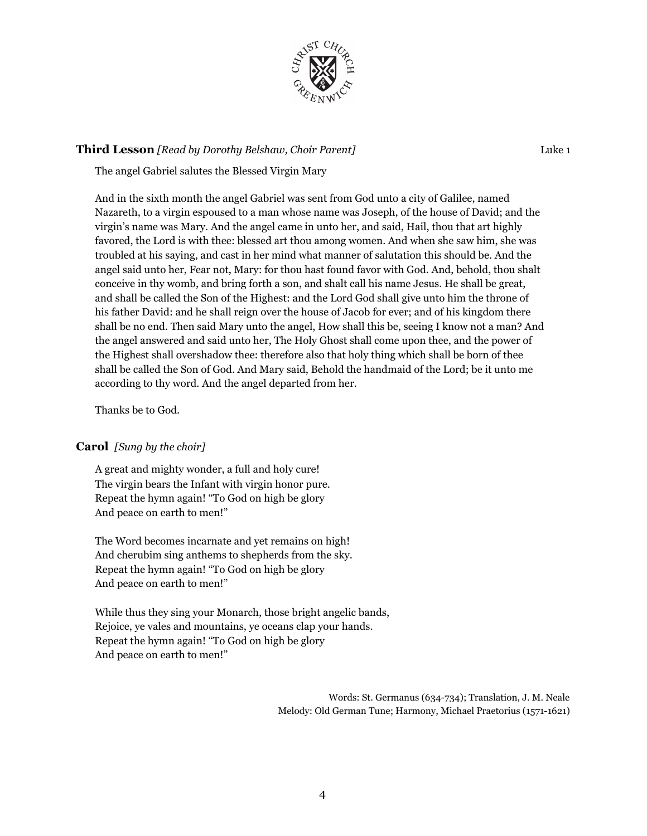

# **Third Lesson** *[Read by Dorothy Belshaw, Choir Parent]* Luke 1

The angel Gabriel salutes the Blessed Virgin Mary

And in the sixth month the angel Gabriel was sent from God unto a city of Galilee, named Nazareth, to a virgin espoused to a man whose name was Joseph, of the house of David; and the virgin's name was Mary. And the angel came in unto her, and said, Hail, thou that art highly favored, the Lord is with thee: blessed art thou among women. And when she saw him, she was troubled at his saying, and cast in her mind what manner of salutation this should be. And the angel said unto her, Fear not, Mary: for thou hast found favor with God. And, behold, thou shalt conceive in thy womb, and bring forth a son, and shalt call his name Jesus. He shall be great, and shall be called the Son of the Highest: and the Lord God shall give unto him the throne of his father David: and he shall reign over the house of Jacob for ever; and of his kingdom there shall be no end. Then said Mary unto the angel, How shall this be, seeing I know not a man? And the angel answered and said unto her, The Holy Ghost shall come upon thee, and the power of the Highest shall overshadow thee: therefore also that holy thing which shall be born of thee shall be called the Son of God. And Mary said, Behold the handmaid of the Lord; be it unto me according to thy word. And the angel departed from her.

Thanks be to God.

# **Carol** *[Sung by the choir]*

A great and mighty wonder, a full and holy cure! The virgin bears the Infant with virgin honor pure. Repeat the hymn again! "To God on high be glory And peace on earth to men!"

The Word becomes incarnate and yet remains on high! And cherubim sing anthems to shepherds from the sky. Repeat the hymn again! "To God on high be glory And peace on earth to men!"

While thus they sing your Monarch, those bright angelic bands, Rejoice, ye vales and mountains, ye oceans clap your hands. Repeat the hymn again! "To God on high be glory And peace on earth to men!"

> Words: St. Germanus (634-734); Translation, J. M. Neale Melody: Old German Tune; Harmony, Michael Praetorius (1571-1621)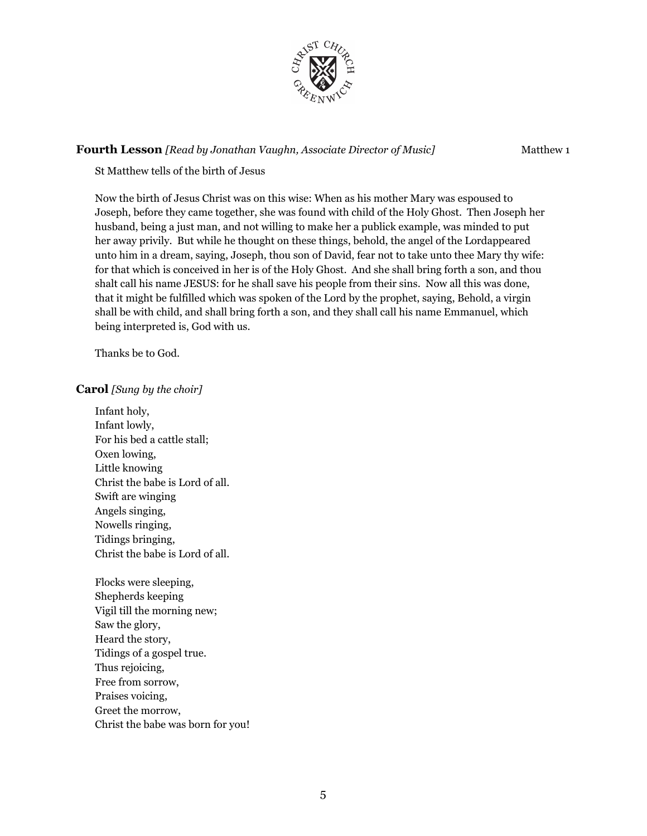

#### **Fourth Lesson** *[Read by Jonathan Vaughn, Associate Director of Music]* Matthew 1

#### St Matthew tells of the birth of Jesus

Now the birth of Jesus Christ was on this wise: When as his mother Mary was espoused to Joseph, before they came together, she was found with child of the Holy Ghost. Then Joseph her husband, being a just man, and not willing to make her a publick example, was minded to put her away privily. But while he thought on these things, behold, the angel of the Lordappeared unto him in a dream, saying, Joseph, thou son of David, fear not to take unto thee Mary thy wife: for that which is conceived in her is of the Holy Ghost. And she shall bring forth a son, and thou shalt call his name JESUS: for he shall save his people from their sins. Now all this was done, that it might be fulfilled which was spoken of the Lord by the prophet, saying, Behold, a virgin shall be with child, and shall bring forth a son, and they shall call his name Emmanuel, which being interpreted is, God with us.

Thanks be to God.

#### **Carol** *[Sung by the choir]*

Infant holy, Infant lowly, For his bed a cattle stall; Oxen lowing, Little knowing Christ the babe is Lord of all. Swift are winging Angels singing, Nowells ringing, Tidings bringing, Christ the babe is Lord of all.

Flocks were sleeping, Shepherds keeping Vigil till the morning new; Saw the glory, Heard the story, Tidings of a gospel true. Thus rejoicing, Free from sorrow, Praises voicing, Greet the morrow, Christ the babe was born for you!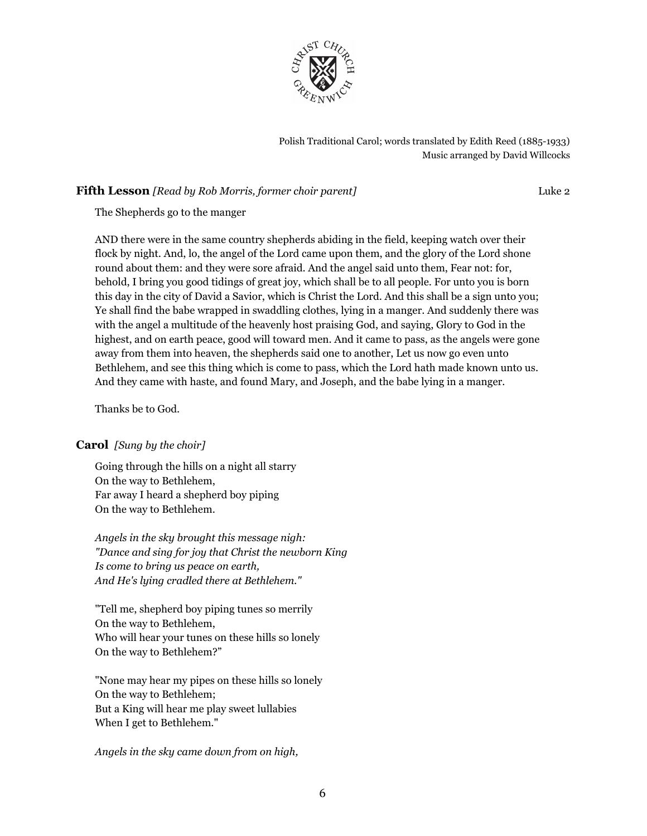

Polish Traditional Carol; words translated by Edith Reed (1885-1933) Music arranged by David Willcocks

#### **Fifth Lesson** *[Read by Rob Morris, former choir parent]* Luke 2

#### The Shepherds go to the manger

AND there were in the same country shepherds abiding in the field, keeping watch over their flock by night. And, lo, the angel of the Lord came upon them, and the glory of the Lord shone round about them: and they were sore afraid. And the angel said unto them, Fear not: for, behold, I bring you good tidings of great joy, which shall be to all people. For unto you is born this day in the city of David a Savior, which is Christ the Lord. And this shall be a sign unto you; Ye shall find the babe wrapped in swaddling clothes, lying in a manger. And suddenly there was with the angel a multitude of the heavenly host praising God, and saying, Glory to God in the highest, and on earth peace, good will toward men. And it came to pass, as the angels were gone away from them into heaven, the shepherds said one to another, Let us now go even unto Bethlehem, and see this thing which is come to pass, which the Lord hath made known unto us. And they came with haste, and found Mary, and Joseph, and the babe lying in a manger.

Thanks be to God.

#### **Carol** *[Sung by the choir]*

Going through the hills on a night all starry On the way to Bethlehem, Far away I heard a shepherd boy piping On the way to Bethlehem.

*Angels in the sky brought this message nigh: "Dance and sing for joy that Christ the newborn King Is come to bring us peace on earth, And He's lying cradled there at Bethlehem."*

"Tell me, shepherd boy piping tunes so merrily On the way to Bethlehem, Who will hear your tunes on these hills so lonely On the way to Bethlehem?"

"None may hear my pipes on these hills so lonely On the way to Bethlehem; But a King will hear me play sweet lullabies When I get to Bethlehem."

*Angels in the sky came down from on high,*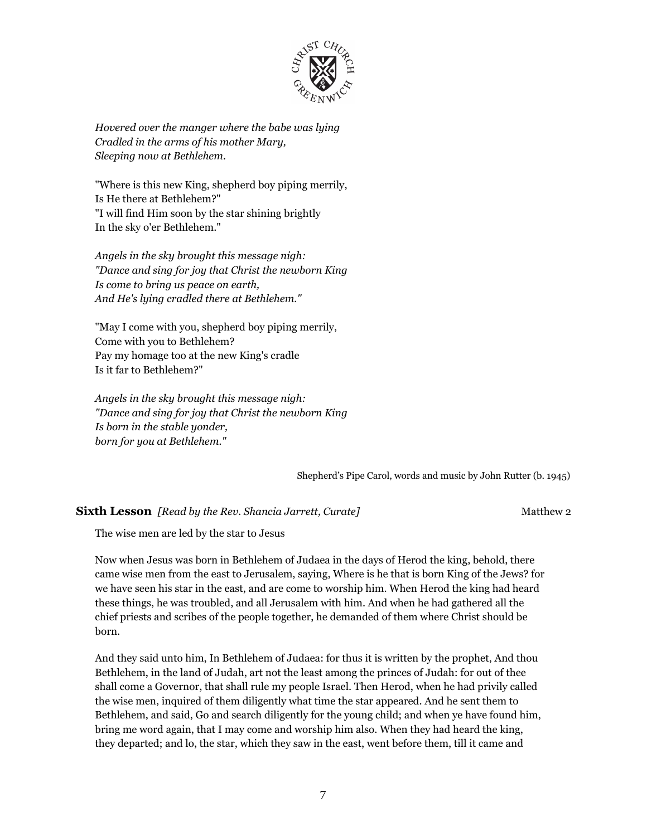

*Hovered over the manger where the babe was lying Cradled in the arms of his mother Mary, Sleeping now at Bethlehem.*

"Where is this new King, shepherd boy piping merrily, Is He there at Bethlehem?" "I will find Him soon by the star shining brightly In the sky o'er Bethlehem."

*Angels in the sky brought this message nigh: "Dance and sing for joy that Christ the newborn King Is come to bring us peace on earth, And He's lying cradled there at Bethlehem."*

"May I come with you, shepherd boy piping merrily, Come with you to Bethlehem? Pay my homage too at the new King's cradle Is it far to Bethlehem?"

*Angels in the sky brought this message nigh: "Dance and sing for joy that Christ the newborn King Is born in the stable yonder, born for you at Bethlehem."*

Shepherd's Pipe Carol, words and music by John Rutter (b. 1945)

#### **Sixth Lesson** *[Read by the Rev. Shancia Jarrett, Curate]* Matthew 2

The wise men are led by the star to Jesus

Now when Jesus was born in Bethlehem of Judaea in the days of Herod the king, behold, there came wise men from the east to Jerusalem, saying, Where is he that is born King of the Jews? for we have seen his star in the east, and are come to worship him. When Herod the king had heard these things, he was troubled, and all Jerusalem with him. And when he had gathered all the chief priests and scribes of the people together, he demanded of them where Christ should be born.

And they said unto him, In Bethlehem of Judaea: for thus it is written by the prophet, And thou Bethlehem, in the land of Judah, art not the least among the princes of Judah: for out of thee shall come a Governor, that shall rule my people Israel. Then Herod, when he had privily called the wise men, inquired of them diligently what time the star appeared. And he sent them to Bethlehem, and said, Go and search diligently for the young child; and when ye have found him, bring me word again, that I may come and worship him also. When they had heard the king, they departed; and lo, the star, which they saw in the east, went before them, till it came and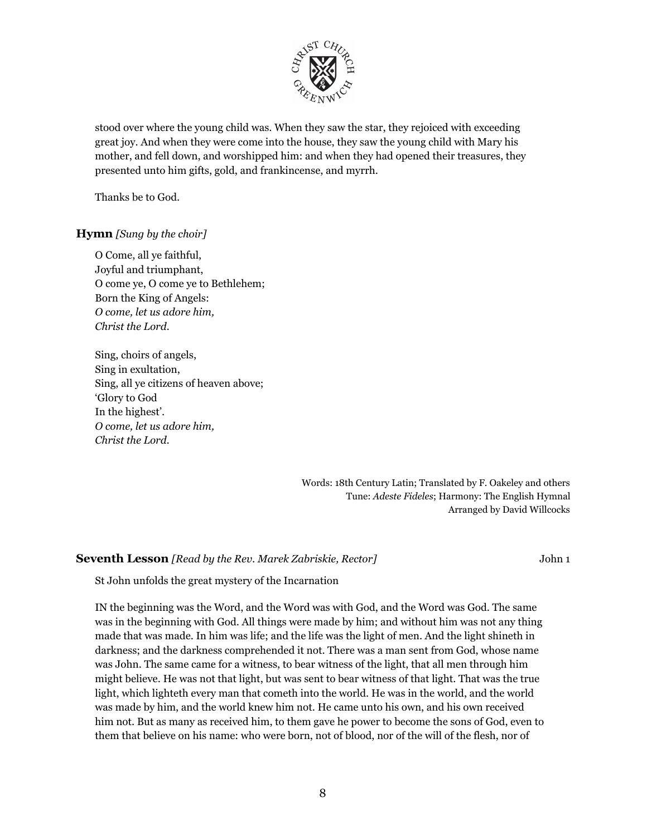

stood over where the young child was. When they saw the star, they rejoiced with exceeding great joy. And when they were come into the house, they saw the young child with Mary his mother, and fell down, and worshipped him: and when they had opened their treasures, they presented unto him gifts, gold, and frankincense, and myrrh.

Thanks be to God.

#### **Hymn** *[Sung by the choir]*

O Come, all ye faithful, Joyful and triumphant, O come ye, O come ye to Bethlehem; Born the King of Angels: *O come, let us adore him, Christ the Lord.*

Sing, choirs of angels, Sing in exultation, Sing, all ye citizens of heaven above; 'Glory to God In the highest'. *O come, let us adore him, Christ the Lord.*

> Words: 18th Century Latin; Translated by F. Oakeley and others Tune: *Adeste Fideles*; Harmony: The English Hymnal Arranged by David Willcocks

#### **Seventh Lesson** *[Read by the Rev. Marek Zabriskie, Rector]* John 1

St John unfolds the great mystery of the Incarnation

IN the beginning was the Word, and the Word was with God, and the Word was God. The same was in the beginning with God. All things were made by him; and without him was not any thing made that was made. In him was life; and the life was the light of men. And the light shineth in darkness; and the darkness comprehended it not. There was a man sent from God, whose name was John. The same came for a witness, to bear witness of the light, that all men through him might believe. He was not that light, but was sent to bear witness of that light. That was the true light, which lighteth every man that cometh into the world. He was in the world, and the world was made by him, and the world knew him not. He came unto his own, and his own received him not. But as many as received him, to them gave he power to become the sons of God, even to them that believe on his name: who were born, not of blood, nor of the will of the flesh, nor of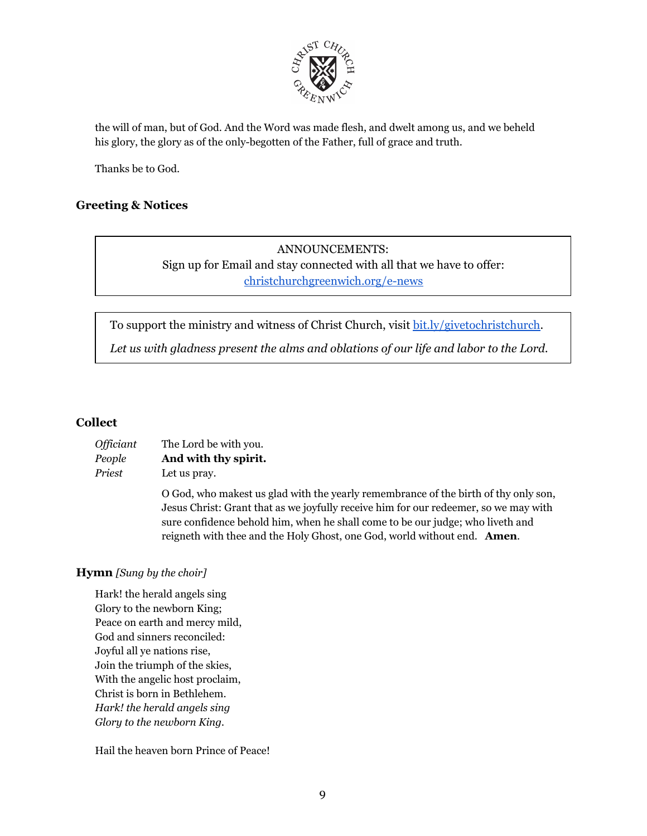

the will of man, but of God. And the Word was made flesh, and dwelt among us, and we beheld his glory, the glory as of the only-begotten of the Father, full of grace and truth.

Thanks be to God.

# **Greeting & Notices**

# ANNOUNCEMENTS: Sign up for Email and stay connected with all that we have to offer: [christchurchgreenwich.org/e-news](https://christchurchgreenwich.org/e-news/)

To support the ministry and witness of Christ Church, visit [bit.ly/givetochristchurch.](http://bit.ly/givetochristchurch) *Let us with gladness present the alms and oblations of our life and labor to the Lord.*

### **Collect**

| Officiant<br>People<br>Priest | The Lord be with you.<br>And with thy spirit.<br>Let us pray.                                                                                                                                                                                                                                                                                    |
|-------------------------------|--------------------------------------------------------------------------------------------------------------------------------------------------------------------------------------------------------------------------------------------------------------------------------------------------------------------------------------------------|
|                               | O God, who makest us glad with the yearly remembrance of the birth of thy only son,<br>Jesus Christ: Grant that as we joyfully receive him for our redeemer, so we may with<br>sure confidence behold him, when he shall come to be our judge; who liveth and<br>reigneth with thee and the Holy Ghost, one God, world without end. <b>Amen.</b> |

#### **Hymn** *[Sung by the choir]*

Hark! the herald angels sing Glory to the newborn King; Peace on earth and mercy mild, God and sinners reconciled: Joyful all ye nations rise, Join the triumph of the skies, With the angelic host proclaim, Christ is born in Bethlehem. *Hark! the herald angels sing Glory to the newborn King.*

Hail the heaven born Prince of Peace!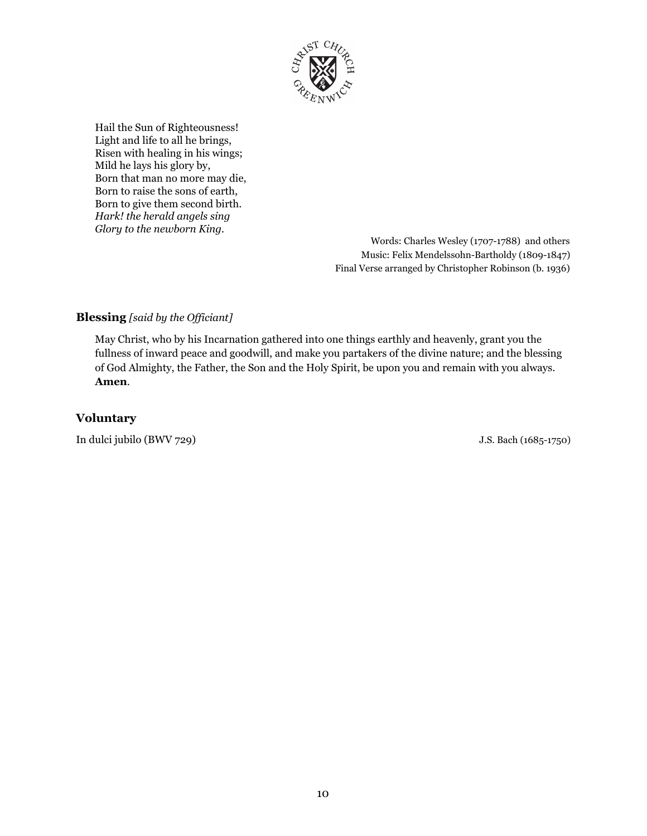

Hail the Sun of Righteousness! Light and life to all he brings, Risen with healing in his wings; Mild he lays his glory by, Born that man no more may die, Born to raise the sons of earth, Born to give them second birth. *Hark! the herald angels sing Glory to the newborn King.*

Words: Charles Wesley (1707-1788) and others Music: Felix Mendelssohn-Bartholdy (1809-1847) Final Verse arranged by Christopher Robinson (b. 1936)

# **Blessing** *[said by the Of iciant]*

May Christ, who by his Incarnation gathered into one things earthly and heavenly, grant you the fullness of inward peace and goodwill, and make you partakers of the divine nature; and the blessing of God Almighty, the Father, the Son and the Holy Spirit, be upon you and remain with you always. **Amen**.

# **Voluntary**

In dulci jubilo (BWV 729) J.S. Bach (1685-1750)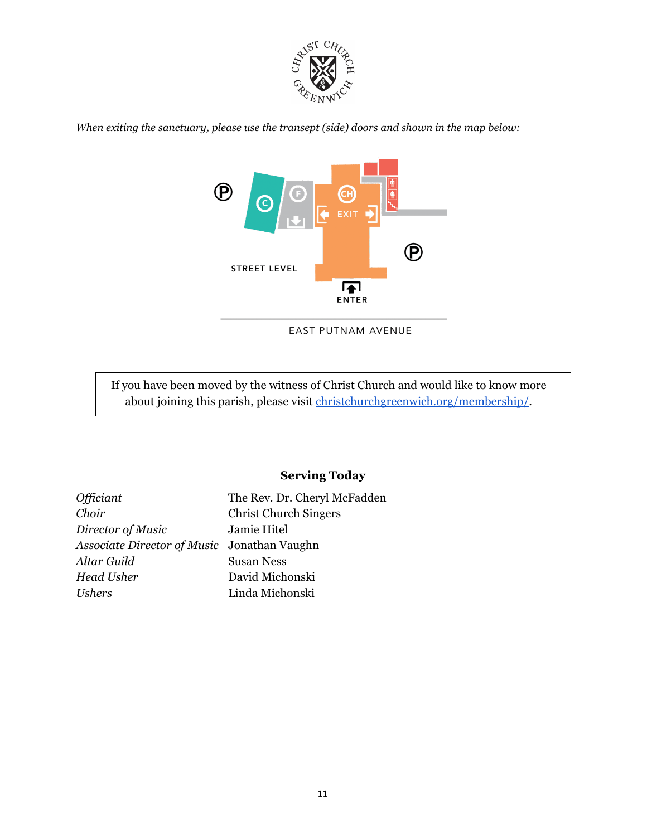

*When exiting the sanctuary, please use the transept (side) doors and shown in the map below:*



EAST PUTNAM AVENUE

If you have been moved by the witness of Christ Church and would like to know more about joining this parish, please visit [christchurchgreenwich.org/membership/.](https://christchurchgreenwich.org/membership/)

# **Serving Today**

| The Rev. Dr. Cheryl McFadden                |
|---------------------------------------------|
| <b>Christ Church Singers</b>                |
| Jamie Hitel                                 |
| Associate Director of Music Jonathan Vaughn |
| <b>Susan Ness</b>                           |
| David Michonski                             |
| Linda Michonski                             |
|                                             |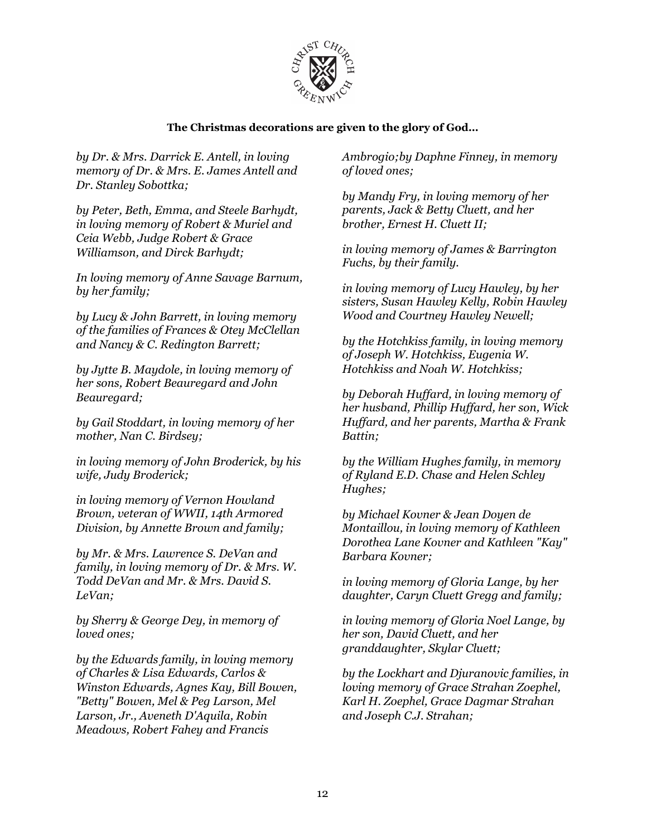

# **The Christmas decorations are given to the glory of God…**

*by Dr. & Mrs. Darrick E. Antell, in loving memory of Dr. & Mrs. E. James Antell and Dr. Stanley Sobottka;*

*by Peter, Beth, Emma, and Steele Barhydt, in loving memory of Robert & Muriel and Ceia Webb, Judge Robert & Grace Williamson, and Dirck Barhydt;*

*In loving memory of Anne Savage Barnum, by her family;*

*by Lucy & John Barrett, in loving memory of the families of Frances & Otey McClellan and Nancy & C. Redington Barrett;*

*by Jytte B. Maydole, in loving memory of her sons, Robert Beauregard and John Beauregard;*

*by Gail Stoddart, in loving memory of her mother, Nan C. Birdsey;*

*in loving memory of John Broderick, by his wife, Judy Broderick;*

*in loving memory of Vernon Howland Brown, veteran of WWII, 14th Armored Division, by Annette Brown and family;*

*by Mr. & Mrs. Lawrence S. DeVan and family, in loving memory of Dr. & Mrs. W. Todd DeVan and Mr. & Mrs. David S. LeVan;*

*by Sherry & George Dey, in memory of loved ones;*

*by the Edwards family, in loving memory of Charles & Lisa Edwards, Carlos & Winston Edwards, Agnes Kay, Bill Bowen, "Betty" Bowen, Mel & Peg Larson, Mel Larson, Jr., Aveneth D'Aquila, Robin Meadows, Robert Fahey and Francis*

*Ambrogio;by Daphne Finney, in memory of loved ones;*

*by Mandy Fry, in loving memory of her parents, Jack & Betty Cluett, and her brother, Ernest H. Cluett II;*

*in loving memory of James & Barrington Fuchs, by their family.*

*in loving memory of Lucy Hawley, by her sisters, Susan Hawley Kelly, Robin Hawley Wood and Courtney Hawley Newell;*

*by the Hotchkiss family, in loving memory of Joseph W. Hotchkiss, Eugenia W. Hotchkiss and Noah W. Hotchkiss;*

*by Deborah Huf ard, in loving memory of her husband, Phillip Huf ard, her son, Wick Huf ard, and her parents, Martha & Frank Battin;*

*by the William Hughes family, in memory of Ryland E.D. Chase and Helen Schley Hughes;*

*by Michael Kovner & Jean Doyen de Montaillou, in loving memory of Kathleen Dorothea Lane Kovner and Kathleen "Kay" Barbara Kovner;*

*in loving memory of Gloria Lange, by her daughter, Caryn Cluett Gregg and family;*

*in loving memory of Gloria Noel Lange, by her son, David Cluett, and her granddaughter, Skylar Cluett;*

*by the Lockhart and Djuranovic families, in loving memory of Grace Strahan Zoephel, Karl H. Zoephel, Grace Dagmar Strahan and Joseph C.J. Strahan;*